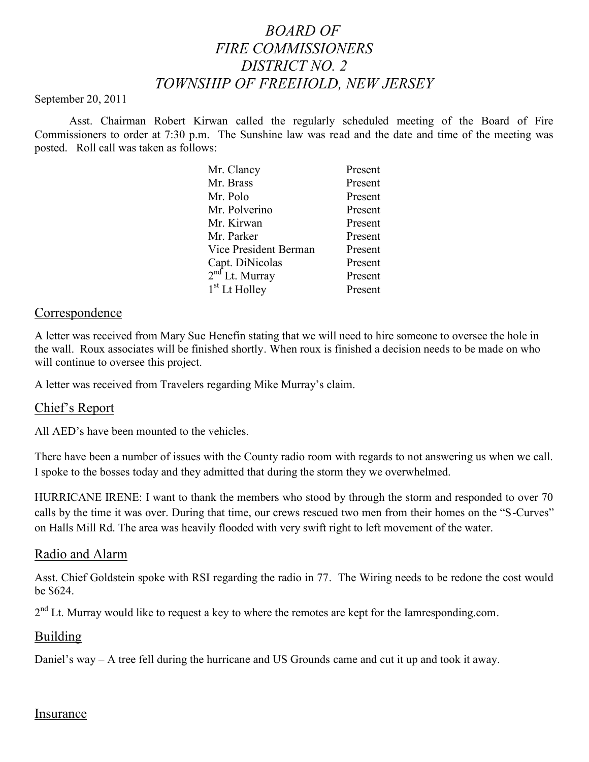# *BOARD OF FIRE COMMISSIONERS DISTRICT NO. 2 TOWNSHIP OF FREEHOLD, NEW JERSEY*

#### September 20, 2011

Asst. Chairman Robert Kirwan called the regularly scheduled meeting of the Board of Fire Commissioners to order at 7:30 p.m. The Sunshine law was read and the date and time of the meeting was posted. Roll call was taken as follows:

| Mr. Clancy                | Present |
|---------------------------|---------|
| Mr. Brass                 | Present |
| Mr. Polo                  | Present |
| Mr. Polverino             | Present |
| Mr. Kirwan                | Present |
| Mr. Parker                | Present |
| Vice President Berman     | Present |
| Capt. DiNicolas           | Present |
| $2nd$ Lt. Murray          | Present |
| 1 <sup>st</sup> Lt Holley | Present |

#### Correspondence

A letter was received from Mary Sue Henefin stating that we will need to hire someone to oversee the hole in the wall. Roux associates will be finished shortly. When roux is finished a decision needs to be made on who will continue to oversee this project.

A letter was received from Travelers regarding Mike Murray's claim.

#### Chief's Report

All AED's have been mounted to the vehicles.

There have been a number of issues with the County radio room with regards to not answering us when we call. I spoke to the bosses today and they admitted that during the storm they we overwhelmed.

HURRICANE IRENE: I want to thank the members who stood by through the storm and responded to over 70 calls by the time it was over. During that time, our crews rescued two men from their homes on the "S-Curves" on Halls Mill Rd. The area was heavily flooded with very swift right to left movement of the water.

#### Radio and Alarm

Asst. Chief Goldstein spoke with RSI regarding the radio in 77. The Wiring needs to be redone the cost would be \$624.

2<sup>nd</sup> Lt. Murray would like to request a key to where the remotes are kept for the Iamresponding.com.

#### Building

Daniel's way – A tree fell during the hurricane and US Grounds came and cut it up and took it away.

#### Insurance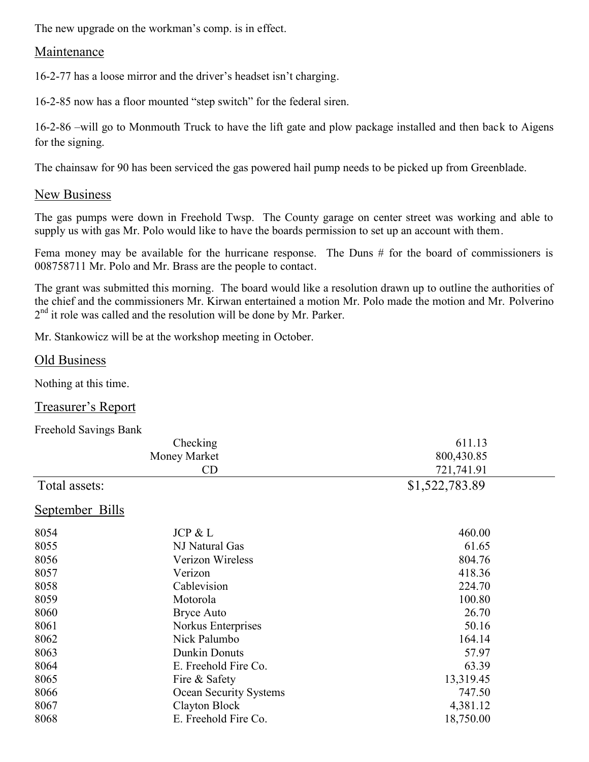The new upgrade on the workman's comp. is in effect.

# **Maintenance**

16-2-77 has a loose mirror and the driver's headset isn't charging.

16-2-85 now has a floor mounted "step switch" for the federal siren.

16-2-86 –will go to Monmouth Truck to have the lift gate and plow package installed and then back to Aigens for the signing.

The chainsaw for 90 has been serviced the gas powered hail pump needs to be picked up from Greenblade.

# New Business

The gas pumps were down in Freehold Twsp. The County garage on center street was working and able to supply us with gas Mr. Polo would like to have the boards permission to set up an account with them.

Fema money may be available for the hurricane response. The Duns # for the board of commissioners is 008758711 Mr. Polo and Mr. Brass are the people to contact.

The grant was submitted this morning. The board would like a resolution drawn up to outline the authorities of the chief and the commissioners Mr. Kirwan entertained a motion Mr. Polo made the motion and Mr. Polverino 2<sup>nd</sup> it role was called and the resolution will be done by Mr. Parker.

Mr. Stankowicz will be at the workshop meeting in October.

# Old Business

Nothing at this time.

Treasurer's Report

| <b>Freehold Savings Bank</b> |                        |                |
|------------------------------|------------------------|----------------|
|                              | Checking               | 611.13         |
|                              | Money Market           | 800,430.85     |
|                              | CD                     | 721,741.91     |
| Total assets:                |                        | \$1,522,783.89 |
| September Bills              |                        |                |
| 8054                         | JCP & L                | 460.00         |
| 8055                         | NJ Natural Gas         | 61.65          |
| 8056                         | Verizon Wireless       | 804.76         |
| 8057                         | Verizon                | 418.36         |
| 8058                         | Cablevision            | 224.70         |
| 8059                         | Motorola               | 100.80         |
| 8060                         | <b>Bryce Auto</b>      | 26.70          |
| 8061                         | Norkus Enterprises     | 50.16          |
| 8062                         | Nick Palumbo           | 164.14         |
| 8063                         | <b>Dunkin Donuts</b>   | 57.97          |
| 8064                         | E. Freehold Fire Co.   | 63.39          |
| 8065                         | Fire & Safety          | 13,319.45      |
| 8066                         | Ocean Security Systems | 747.50         |
| 8067                         | Clayton Block          | 4,381.12       |
| 8068                         | E. Freehold Fire Co.   | 18,750.00      |